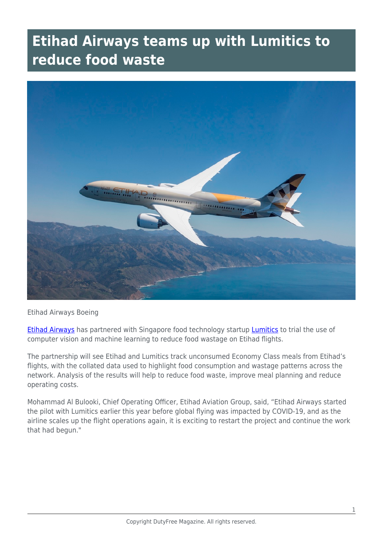## **Etihad Airways teams up with Lumitics to reduce food waste**



## Etihad Airways Boeing

[Etihad Airways](https://www.etihad.com/en-ca/?CID=PPC-CANADA-GOOGLE&gclid=Cj0KCQjwqfz6BRD8ARIsAIXQCf1Vn-IXgNxdrXOdyxXJo0zaPCfMi0VbnZwXO43iV6ej-8OtXD7r744aAulbEALw_wcB&gclsrc=aw.ds) has partnered with Singapore food technology startup [Lumitics](https://lumitics.com/) to trial the use of computer vision and machine learning to reduce food wastage on Etihad flights.

The partnership will see Etihad and Lumitics track unconsumed Economy Class meals from Etihad's flights, with the collated data used to highlight food consumption and wastage patterns across the network. Analysis of the results will help to reduce food waste, improve meal planning and reduce operating costs.

Mohammad Al Bulooki, Chief Operating Officer, Etihad Aviation Group, said, "Etihad Airways started the pilot with Lumitics earlier this year before global flying was impacted by COVID-19, and as the airline scales up the flight operations again, it is exciting to restart the project and continue the work that had begun."